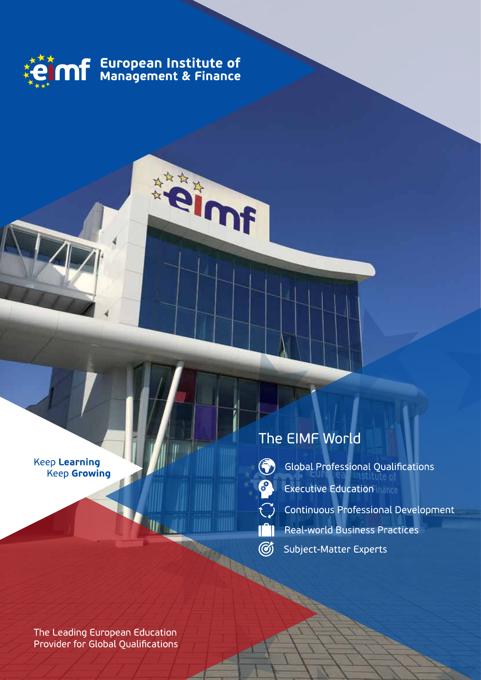

**RIDER** 

Keep Learning **Keep Growing** 

## The EIMF World

3

 $\mathcal{C}$ 

- Global Professional Qualifications
- **Executive Education**
- **Continuous Professional Development**
- Real-world Business Practices  $\mathbb{T}^n$
- $\circledG$ **Subject-Matter Experts**

The Leading European Education Provider for Global Qualifications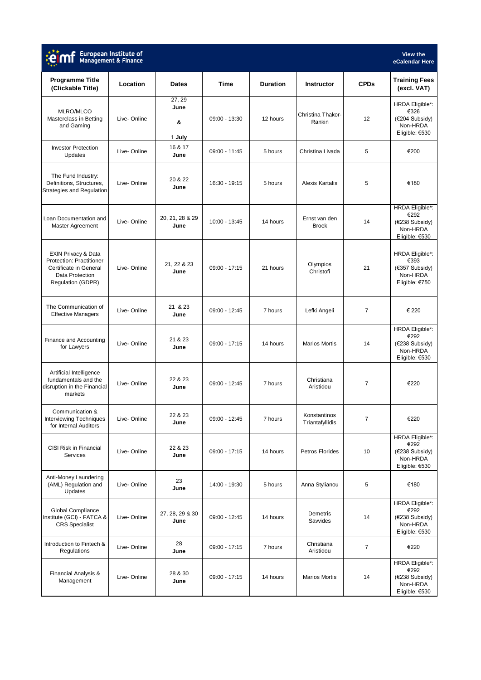| European Institute of<br>Management & Finance<br>eCalendar Here                                                                     |             |                              |                 |                 |                                 |                |                                                                                |  |  |
|-------------------------------------------------------------------------------------------------------------------------------------|-------------|------------------------------|-----------------|-----------------|---------------------------------|----------------|--------------------------------------------------------------------------------|--|--|
| <b>Programme Title</b><br>(Clickable Title)                                                                                         | Location    | <b>Dates</b>                 | <b>Time</b>     | <b>Duration</b> | <b>Instructor</b>               | <b>CPDs</b>    | <b>Training Fees</b><br>(excl. VAT)                                            |  |  |
| MLRO/MLCO<br>Masterclass in Betting<br>and Gaming                                                                                   | Live-Online | 27.29<br>June<br>&<br>1 July | 09:00 - 13:30   | 12 hours        | Christina Thakor-<br>Rankin     | 12             | HRDA Eligible*:<br>€326<br>(€204 Subsidy)<br>Non-HRDA<br>Eligible: €530        |  |  |
| <b>Investor Protection</b><br>Updates                                                                                               | Live-Online | 16 & 17<br>June              | 09:00 - 11:45   | 5 hours         | Christina Livada                | 5              | €200                                                                           |  |  |
| The Fund Industry:<br>Definitions, Structures,<br>Strategies and Regulation                                                         | Live-Online | 20 & 22<br>June              | 16:30 - 19:15   | 5 hours         | Alexis Kartalis                 | 5              | €180                                                                           |  |  |
| Loan Documentation and<br>Master Agreement                                                                                          | Live-Online | 20, 21, 28 & 29<br>June      | 10:00 - 13:45   | 14 hours        | Ernst van den<br><b>Broek</b>   | 14             | HRDA Eligible*:<br>€292<br>(€238 Subsidy)<br>Non-HRDA<br>Eligible: €530        |  |  |
| <b>EXIN Privacy &amp; Data</b><br><b>Protection: Practitioner</b><br>Certificate in General<br>Data Protection<br>Regulation (GDPR) | Live-Online | 21, 22 & 23<br>June          | $09:00 - 17:15$ | 21 hours        | Olympios<br>Christofi           | 21             | <b>HRDA Eligible*:</b><br>€393<br>(€357 Subsidy)<br>Non-HRDA<br>Eligible: €750 |  |  |
| The Communication of<br><b>Effective Managers</b>                                                                                   | Live-Online | 21 & 23<br>June              | 09:00 - 12:45   | 7 hours         | Lefki Angeli                    | $\overline{7}$ | € 220                                                                          |  |  |
| Finance and Accounting<br>for Lawyers                                                                                               | Live-Online | 21 & 23<br>June              | $09:00 - 17:15$ | 14 hours        | <b>Marios Mortis</b>            | 14             | HRDA Eligible*:<br>€292<br>(€238 Subsidy)<br>Non-HRDA<br>Eligible: €530        |  |  |
| Artificial Intelligence<br>fundamentals and the<br>disruption in the Financial<br>markets                                           | Live-Online | 22 & 23<br>June              | 09:00 - 12:45   | 7 hours         | Christiana<br>Aristidou         | $\overline{7}$ | €220                                                                           |  |  |
| Communication &<br><b>Interviewing Techniques</b><br>for Internal Auditors                                                          | Live-Online | 22 & 23<br>June              | 09:00 - 12:45   | 7 hours         | Konstantinos<br>Triantafyllidis | $\overline{7}$ | €220                                                                           |  |  |
| <b>CISI Risk in Financial</b><br>Services                                                                                           | Live-Online | 22 & 23<br>June              | 09:00 - 17:15   | 14 hours        | Petros Florides                 | 10             | HRDA Eligible*:<br>€292<br>(€238 Subsidy)<br>Non-HRDA<br>Eligible: €530        |  |  |
| Anti-Money Laundering<br>(AML) Regulation and<br>Updates                                                                            | Live-Online | 23<br>June                   | 14:00 - 19:30   | 5 hours         | Anna Stylianou                  | 5              | €180                                                                           |  |  |
| Global Compliance<br>Institute (GCI) - FATCA &<br><b>CRS</b> Specialist                                                             | Live-Online | 27, 28, 29 & 30<br>June      | 09:00 - 12:45   | 14 hours        | Demetris<br>Sawides             | 14             | HRDA Eligible*:<br>€292<br>(€238 Subsidy)<br>Non-HRDA<br>Eligible: €530        |  |  |
| Introduction to Fintech &<br>Regulations                                                                                            | Live-Online | 28<br>June                   | $09:00 - 17:15$ | 7 hours         | Christiana<br>Aristidou         | $\overline{7}$ | €220                                                                           |  |  |
| Financial Analysis &<br>Management                                                                                                  | Live-Online | 28 & 30<br>June              | $09:00 - 17:15$ | 14 hours        | <b>Marios Mortis</b>            | 14             | HRDA Eligible*:<br>€292<br>(€238 Subsidy)<br>Non-HRDA<br>Eligible: €530        |  |  |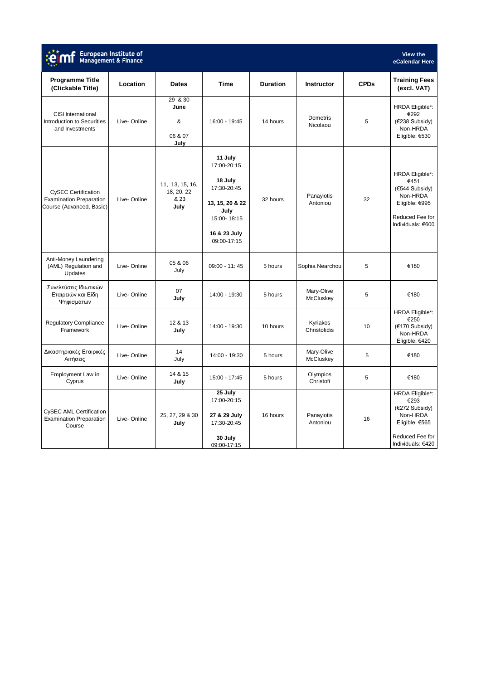|                                                                                   | European Institute of<br>Management & Finance |                                               |                                                                                                                           |                 |                          |             | View the<br>eCalendar Here                                                                                      |
|-----------------------------------------------------------------------------------|-----------------------------------------------|-----------------------------------------------|---------------------------------------------------------------------------------------------------------------------------|-----------------|--------------------------|-------------|-----------------------------------------------------------------------------------------------------------------|
| <b>Programme Title</b><br>(Clickable Title)                                       | Location                                      | <b>Dates</b>                                  | <b>Time</b>                                                                                                               | <b>Duration</b> | <b>Instructor</b>        | <b>CPDs</b> | <b>Training Fees</b><br>(excl. VAT)                                                                             |
| <b>CISI</b> International<br>Introduction to Securities<br>and Investments        | Live-Online                                   | 29 & 30<br>June<br>&<br>06 & 07<br>July       | 16:00 - 19:45                                                                                                             | 14 hours        | Demetris<br>Nicolaou     | 5           | HRDA Eligible*:<br>€292<br>(€238 Subsidy)<br>Non-HRDA<br>Eligible: €530                                         |
| CySEC Certification<br><b>Examination Preparation</b><br>Course (Advanced, Basic) | Live-Online                                   | 11, 13, 15, 16,<br>18, 20, 22<br>& 23<br>July | 11 July<br>17:00-20:15<br>18 July<br>17:30-20:45<br>13, 15, 20 & 22<br>July<br>15:00-18:15<br>16 & 23 July<br>09:00-17:15 | 32 hours        | Panayiotis<br>Antoniou   | 32          | HRDA Eligible*:<br>€451<br>(€544 Subsidy)<br>Non-HRDA<br>Eligible: €995<br>Reduced Fee for<br>Individuals: €600 |
| Anti-Money Laundering<br>(AML) Regulation and<br>Updates                          | Live-Online                                   | 05 & 06<br>July                               | 09:00 - 11:45                                                                                                             | 5 hours         | Sophia Nearchou          | 5           | €180                                                                                                            |
| Συνελεύσεις Ιδιωτικών<br>Εταιρειών και Είδη<br>Ψηφισμάτων                         | Live-Online                                   | 07<br>July                                    | 14:00 - 19:30                                                                                                             | 5 hours         | Mary-Olive<br>McCluskey  | 5           | €180                                                                                                            |
| <b>Regulatory Compliance</b><br>Framework                                         | Live-Online                                   | 12 & 13<br>July                               | 14:00 - 19:30                                                                                                             | 10 hours        | Kyriakos<br>Christofidis | 10          | HRDA Eligible*:<br>€250<br>(€170 Subsidy)<br>Non-HRDA<br>Eligible: €420                                         |
| Δικαστηριακές Εταιρικές<br>Αιτήσεις                                               | Live-Online                                   | 14<br>July                                    | 14:00 - 19:30                                                                                                             | 5 hours         | Mary-Olive<br>McCluskey  | 5           | €180                                                                                                            |
| Employment Law in<br>Cyprus                                                       | Live-Online                                   | 14 & 15<br>July                               | 15:00 - 17:45                                                                                                             | 5 hours         | Olympios<br>Christofi    | 5           | €180                                                                                                            |
| CySEC AML Certification<br><b>Examination Preparation</b><br>Course               | Live-Online                                   | 25, 27, 29 & 30<br>July                       | 25 July<br>17:00-20:15<br>27 & 29 July<br>17:30-20:45<br>30 July<br>09:00-17:15                                           | 16 hours        | Panayiotis<br>Antoniou   | 16          | HRDA Eligible*:<br>€293<br>(€272 Subsidy)<br>Non-HRDA<br>Eligible: €565<br>Reduced Fee for<br>Individuals: €420 |